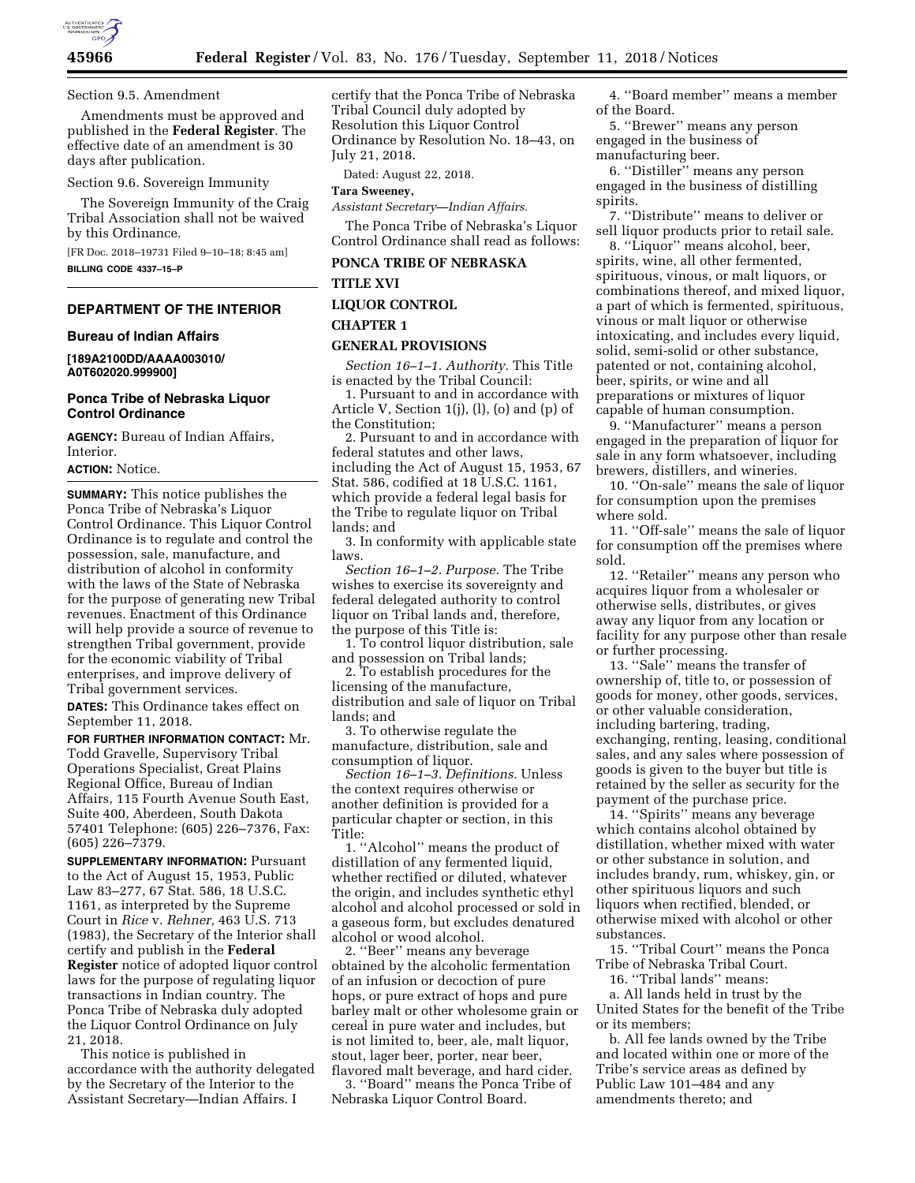

Section 9.5. Amendment

Amendments must be approved and published in the **Federal Register**. The effective date of an amendment is 30 days after publication.

# Section 9.6. Sovereign Immunity

The Sovereign Immunity of the Craig Tribal Association shall not be waived by this Ordinance.

[FR Doc. 2018–19731 Filed 9–10–18; 8:45 am] **BILLING CODE 4337–15–P** 

## **DEPARTMENT OF THE INTERIOR**

#### **Bureau of Indian Affairs**

**[189A2100DD/AAAA003010/ A0T602020.999900]** 

#### **Ponca Tribe of Nebraska Liquor Control Ordinance**

**AGENCY:** Bureau of Indian Affairs, Interior.

**ACTION:** Notice.

**SUMMARY:** This notice publishes the Ponca Tribe of Nebraska's Liquor Control Ordinance. This Liquor Control Ordinance is to regulate and control the possession, sale, manufacture, and distribution of alcohol in conformity with the laws of the State of Nebraska for the purpose of generating new Tribal revenues. Enactment of this Ordinance will help provide a source of revenue to strengthen Tribal government, provide for the economic viability of Tribal enterprises, and improve delivery of Tribal government services.

**DATES:** This Ordinance takes effect on September 11, 2018.

**FOR FURTHER INFORMATION CONTACT:** Mr. Todd Gravelle, Supervisory Tribal Operations Specialist, Great Plains Regional Office, Bureau of Indian Affairs, 115 Fourth Avenue South East, Suite 400, Aberdeen, South Dakota 57401 Telephone: (605) 226–7376, Fax: (605) 226–7379.

**SUPPLEMENTARY INFORMATION:** Pursuant to the Act of August 15, 1953, Public Law 83–277, 67 Stat. 586, 18 U.S.C. 1161, as interpreted by the Supreme Court in *Rice* v. *Rehner,* 463 U.S. 713 (1983), the Secretary of the Interior shall certify and publish in the **Federal Register** notice of adopted liquor control laws for the purpose of regulating liquor transactions in Indian country. The Ponca Tribe of Nebraska duly adopted the Liquor Control Ordinance on July 21, 2018.

This notice is published in accordance with the authority delegated by the Secretary of the Interior to the Assistant Secretary—Indian Affairs. I

certify that the Ponca Tribe of Nebraska Tribal Council duly adopted by Resolution this Liquor Control Ordinance by Resolution No. 18–43, on July 21, 2018.

Dated: August 22, 2018.

**Tara Sweeney,** 

*Assistant Secretary—Indian Affairs.* 

The Ponca Tribe of Nebraska's Liquor Control Ordinance shall read as follows:

## **PONCA TRIBE OF NEBRASKA**

# **TITLE XVI**

# **LIQUOR CONTROL**

#### **CHAPTER 1**

#### **GENERAL PROVISIONS**

*Section 16–1–1. Authority.* This Title is enacted by the Tribal Council:

1. Pursuant to and in accordance with Article V, Section 1(j), (l), (o) and (p) of the Constitution;

2. Pursuant to and in accordance with federal statutes and other laws, including the Act of August 15, 1953, 67 Stat. 586, codified at 18 U.S.C. 1161, which provide a federal legal basis for the Tribe to regulate liquor on Tribal lands; and

3. In conformity with applicable state laws.

*Section 16–1–2. Purpose.* The Tribe wishes to exercise its sovereignty and federal delegated authority to control liquor on Tribal lands and, therefore, the purpose of this Title is:

1. To control liquor distribution, sale and possession on Tribal lands;

2. To establish procedures for the licensing of the manufacture, distribution and sale of liquor on Tribal lands; and

3. To otherwise regulate the manufacture, distribution, sale and consumption of liquor.

*Section 16–1–3. Definitions.* Unless the context requires otherwise or another definition is provided for a particular chapter or section, in this Title:

1. ''Alcohol'' means the product of distillation of any fermented liquid, whether rectified or diluted, whatever the origin, and includes synthetic ethyl alcohol and alcohol processed or sold in a gaseous form, but excludes denatured alcohol or wood alcohol.

2. ''Beer'' means any beverage obtained by the alcoholic fermentation of an infusion or decoction of pure hops, or pure extract of hops and pure barley malt or other wholesome grain or cereal in pure water and includes, but is not limited to, beer, ale, malt liquor, stout, lager beer, porter, near beer, flavored malt beverage, and hard cider.

3. ''Board'' means the Ponca Tribe of Nebraska Liquor Control Board.

4. ''Board member'' means a member of the Board.

5. ''Brewer'' means any person engaged in the business of manufacturing beer.

6. ''Distiller'' means any person engaged in the business of distilling spirits.

7. ''Distribute'' means to deliver or sell liquor products prior to retail sale.

8. ''Liquor'' means alcohol, beer, spirits, wine, all other fermented, spirituous, vinous, or malt liquors, or combinations thereof, and mixed liquor, a part of which is fermented, spirituous, vinous or malt liquor or otherwise intoxicating, and includes every liquid, solid, semi-solid or other substance, patented or not, containing alcohol, beer, spirits, or wine and all preparations or mixtures of liquor capable of human consumption.

9. ''Manufacturer'' means a person engaged in the preparation of liquor for sale in any form whatsoever, including brewers, distillers, and wineries.

10. ''On-sale'' means the sale of liquor for consumption upon the premises where sold.

11. ''Off-sale'' means the sale of liquor for consumption off the premises where sold.

12. "Retailer" means any person who acquires liquor from a wholesaler or otherwise sells, distributes, or gives away any liquor from any location or facility for any purpose other than resale or further processing.

13. ''Sale'' means the transfer of ownership of, title to, or possession of goods for money, other goods, services, or other valuable consideration, including bartering, trading, exchanging, renting, leasing, conditional sales, and any sales where possession of goods is given to the buyer but title is retained by the seller as security for the payment of the purchase price.

14. ''Spirits'' means any beverage which contains alcohol obtained by distillation, whether mixed with water or other substance in solution, and includes brandy, rum, whiskey, gin, or other spirituous liquors and such liquors when rectified, blended, or otherwise mixed with alcohol or other substances.

15. ''Tribal Court'' means the Ponca Tribe of Nebraska Tribal Court.

16. ''Tribal lands'' means: a. All lands held in trust by the United States for the benefit of the Tribe or its members;

b. All fee lands owned by the Tribe and located within one or more of the Tribe's service areas as defined by Public Law 101–484 and any amendments thereto; and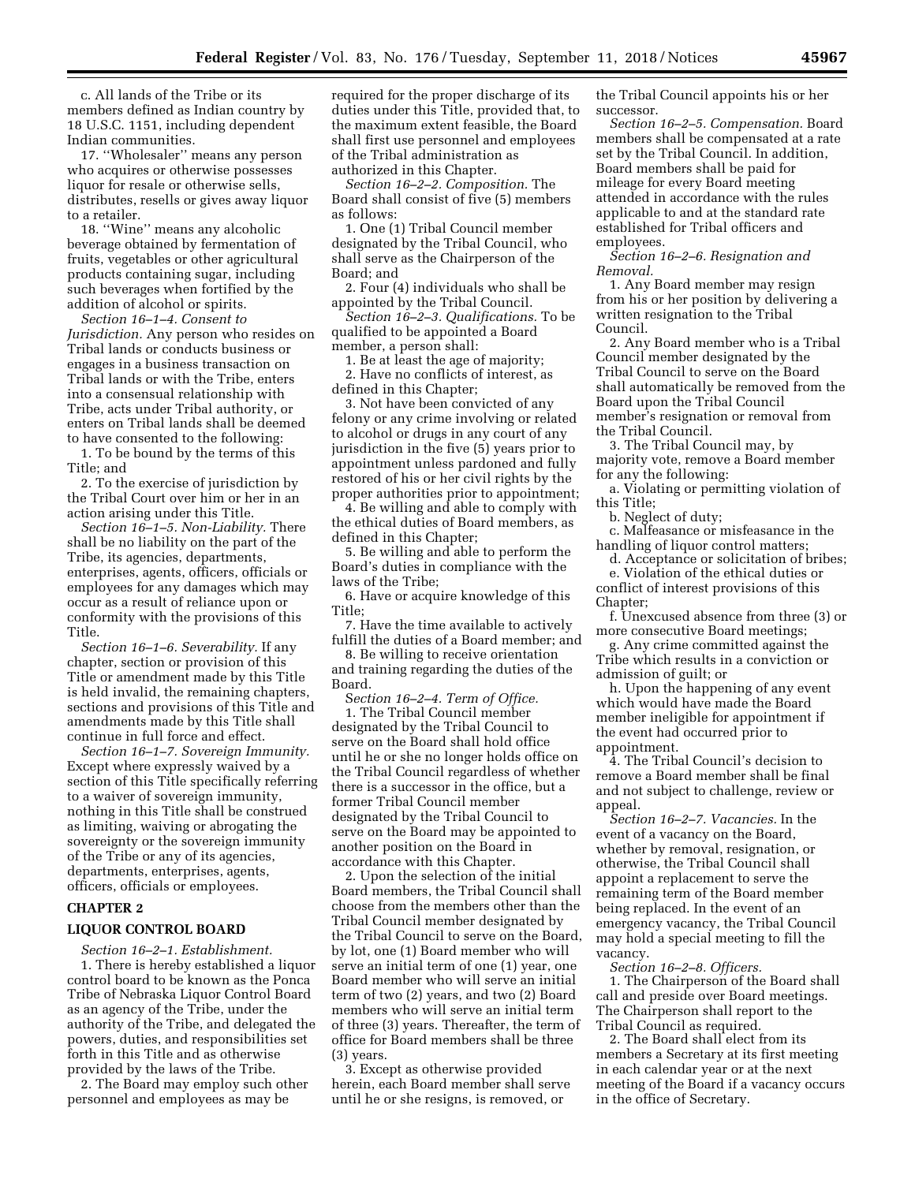c. All lands of the Tribe or its members defined as Indian country by 18 U.S.C. 1151, including dependent Indian communities.

17. ''Wholesaler'' means any person who acquires or otherwise possesses liquor for resale or otherwise sells, distributes, resells or gives away liquor to a retailer.

18. ''Wine'' means any alcoholic beverage obtained by fermentation of fruits, vegetables or other agricultural products containing sugar, including such beverages when fortified by the addition of alcohol or spirits.

*Section 16–1–4. Consent to Jurisdiction.* Any person who resides on Tribal lands or conducts business or engages in a business transaction on Tribal lands or with the Tribe, enters into a consensual relationship with Tribe, acts under Tribal authority, or enters on Tribal lands shall be deemed to have consented to the following:

1. To be bound by the terms of this Title; and

2. To the exercise of jurisdiction by the Tribal Court over him or her in an action arising under this Title.

*Section 16–1–5. Non-Liability.* There shall be no liability on the part of the Tribe, its agencies, departments, enterprises, agents, officers, officials or employees for any damages which may occur as a result of reliance upon or conformity with the provisions of this Title.

*Section 16–1–6. Severability.* If any chapter, section or provision of this Title or amendment made by this Title is held invalid, the remaining chapters, sections and provisions of this Title and amendments made by this Title shall continue in full force and effect.

*Section 16–1–7. Sovereign Immunity.*  Except where expressly waived by a section of this Title specifically referring to a waiver of sovereign immunity, nothing in this Title shall be construed as limiting, waiving or abrogating the sovereignty or the sovereign immunity of the Tribe or any of its agencies, departments, enterprises, agents, officers, officials or employees.

## **CHAPTER 2**

#### **LIQUOR CONTROL BOARD**

*Section 16–2–1. Establishment.*  1. There is hereby established a liquor control board to be known as the Ponca Tribe of Nebraska Liquor Control Board as an agency of the Tribe, under the authority of the Tribe, and delegated the powers, duties, and responsibilities set forth in this Title and as otherwise provided by the laws of the Tribe.

2. The Board may employ such other personnel and employees as may be

required for the proper discharge of its duties under this Title, provided that, to the maximum extent feasible, the Board shall first use personnel and employees of the Tribal administration as authorized in this Chapter.

*Section 16–2–2. Composition.* The Board shall consist of five (5) members as follows:

1. One (1) Tribal Council member designated by the Tribal Council, who shall serve as the Chairperson of the Board; and

2. Four (4) individuals who shall be appointed by the Tribal Council.

*Section 16–2–3. Qualifications.* To be qualified to be appointed a Board member, a person shall:

1. Be at least the age of majority; 2. Have no conflicts of interest, as defined in this Chapter;

3. Not have been convicted of any felony or any crime involving or related to alcohol or drugs in any court of any jurisdiction in the five (5) years prior to appointment unless pardoned and fully restored of his or her civil rights by the proper authorities prior to appointment;

4. Be willing and able to comply with the ethical duties of Board members, as defined in this Chapter;

5. Be willing and able to perform the Board's duties in compliance with the laws of the Tribe;

6. Have or acquire knowledge of this Title;

7. Have the time available to actively fulfill the duties of a Board member; and

8. Be willing to receive orientation and training regarding the duties of the Board.

S*ection 16–2–4. Term of Office.* 

1. The Tribal Council member designated by the Tribal Council to serve on the Board shall hold office until he or she no longer holds office on the Tribal Council regardless of whether there is a successor in the office, but a former Tribal Council member designated by the Tribal Council to serve on the Board may be appointed to another position on the Board in accordance with this Chapter.

2. Upon the selection of the initial Board members, the Tribal Council shall choose from the members other than the Tribal Council member designated by the Tribal Council to serve on the Board, by lot, one (1) Board member who will serve an initial term of one (1) year, one Board member who will serve an initial term of two (2) years, and two (2) Board members who will serve an initial term of three (3) years. Thereafter, the term of office for Board members shall be three (3) years.

3. Except as otherwise provided herein, each Board member shall serve until he or she resigns, is removed, or

the Tribal Council appoints his or her successor.

*Section 16–2–5. Compensation.* Board members shall be compensated at a rate set by the Tribal Council. In addition, Board members shall be paid for mileage for every Board meeting attended in accordance with the rules applicable to and at the standard rate established for Tribal officers and employees.

*Section 16–2–6. Resignation and Removal.* 

1. Any Board member may resign from his or her position by delivering a written resignation to the Tribal Council.

2. Any Board member who is a Tribal Council member designated by the Tribal Council to serve on the Board shall automatically be removed from the Board upon the Tribal Council member's resignation or removal from the Tribal Council.

3. The Tribal Council may, by majority vote, remove a Board member for any the following:

a. Violating or permitting violation of this Title;

b. Neglect of duty;

c. Malfeasance or misfeasance in the handling of liquor control matters;

d. Acceptance or solicitation of bribes; e. Violation of the ethical duties or

conflict of interest provisions of this Chapter;

f. Unexcused absence from three (3) or more consecutive Board meetings;

g. Any crime committed against the Tribe which results in a conviction or admission of guilt; or

h. Upon the happening of any event which would have made the Board member ineligible for appointment if the event had occurred prior to appointment.

4. The Tribal Council's decision to remove a Board member shall be final and not subject to challenge, review or appeal.

*Section 16–2–7. Vacancies.* In the event of a vacancy on the Board, whether by removal, resignation, or otherwise, the Tribal Council shall appoint a replacement to serve the remaining term of the Board member being replaced. In the event of an emergency vacancy, the Tribal Council may hold a special meeting to fill the vacancy.

*Section 16–2–8. Officers.* 

1. The Chairperson of the Board shall call and preside over Board meetings. The Chairperson shall report to the Tribal Council as required.

2. The Board shall elect from its members a Secretary at its first meeting in each calendar year or at the next meeting of the Board if a vacancy occurs in the office of Secretary.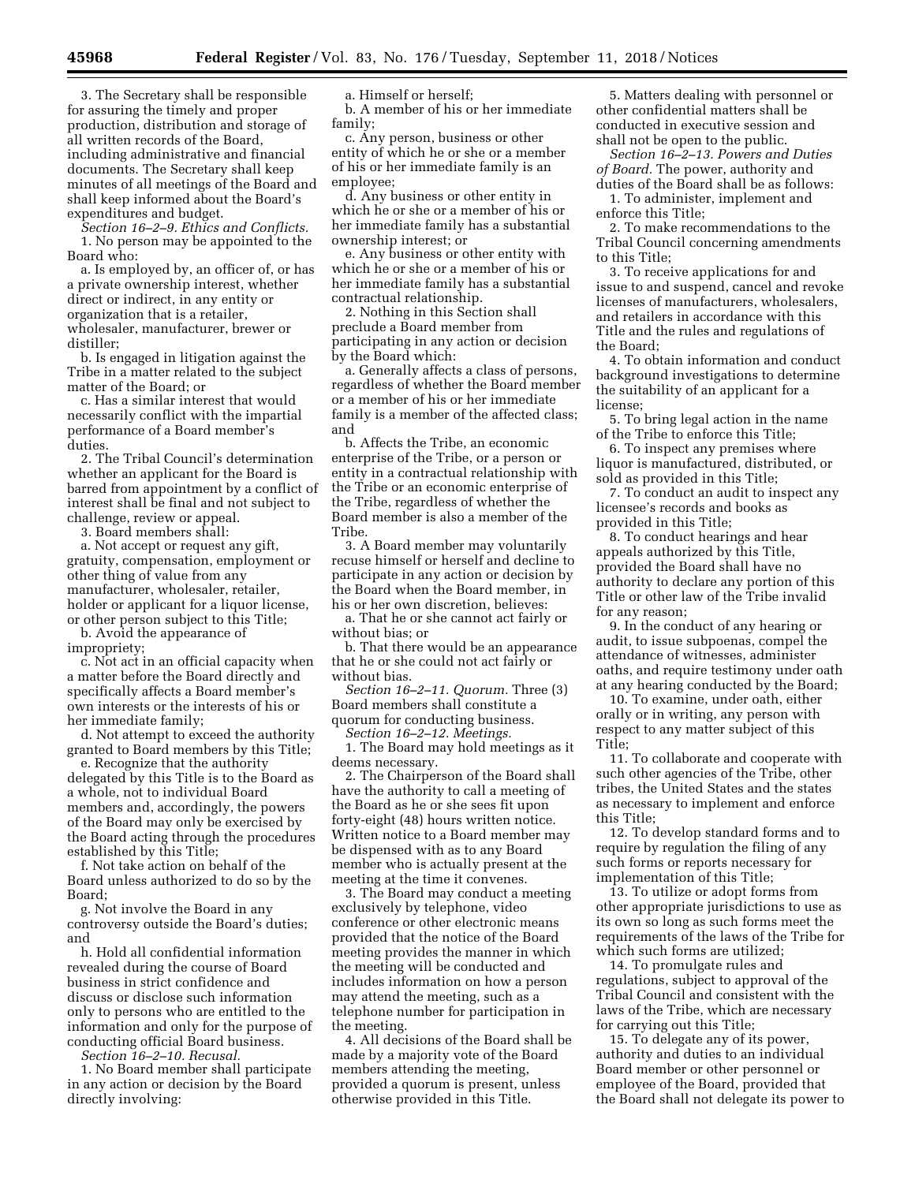3. The Secretary shall be responsible for assuring the timely and proper production, distribution and storage of all written records of the Board, including administrative and financial documents. The Secretary shall keep minutes of all meetings of the Board and shall keep informed about the Board's expenditures and budget.

*Section 16–2–9. Ethics and Conflicts.*  1. No person may be appointed to the Board who:

a. Is employed by, an officer of, or has a private ownership interest, whether direct or indirect, in any entity or organization that is a retailer, wholesaler, manufacturer, brewer or distiller;

b. Is engaged in litigation against the Tribe in a matter related to the subject matter of the Board; or

c. Has a similar interest that would necessarily conflict with the impartial performance of a Board member's duties.

2. The Tribal Council's determination whether an applicant for the Board is barred from appointment by a conflict of interest shall be final and not subject to challenge, review or appeal.

3. Board members shall:

a. Not accept or request any gift, gratuity, compensation, employment or other thing of value from any manufacturer, wholesaler, retailer, holder or applicant for a liquor license, or other person subject to this Title;

b. Avoid the appearance of impropriety;

c. Not act in an official capacity when a matter before the Board directly and specifically affects a Board member's own interests or the interests of his or her immediate family;

d. Not attempt to exceed the authority granted to Board members by this Title;

e. Recognize that the authority delegated by this Title is to the Board as a whole, not to individual Board members and, accordingly, the powers of the Board may only be exercised by the Board acting through the procedures established by this Title;

f. Not take action on behalf of the Board unless authorized to do so by the Board;

g. Not involve the Board in any controversy outside the Board's duties; and

h. Hold all confidential information revealed during the course of Board business in strict confidence and discuss or disclose such information only to persons who are entitled to the information and only for the purpose of conducting official Board business.

*Section 16–2–10. Recusal.* 

1. No Board member shall participate in any action or decision by the Board directly involving:

a. Himself or herself;

b. A member of his or her immediate family;

c. Any person, business or other entity of which he or she or a member of his or her immediate family is an employee;

d. Any business or other entity in which he or she or a member of his or her immediate family has a substantial ownership interest; or

e. Any business or other entity with which he or she or a member of his or her immediate family has a substantial contractual relationship.

2. Nothing in this Section shall preclude a Board member from participating in any action or decision by the Board which:

a. Generally affects a class of persons, regardless of whether the Board member or a member of his or her immediate family is a member of the affected class; and

b. Affects the Tribe, an economic enterprise of the Tribe, or a person or entity in a contractual relationship with the Tribe or an economic enterprise of the Tribe, regardless of whether the Board member is also a member of the Tribe.

3. A Board member may voluntarily recuse himself or herself and decline to participate in any action or decision by the Board when the Board member, in his or her own discretion, believes:

a. That he or she cannot act fairly or without bias; or

b. That there would be an appearance that he or she could not act fairly or without bias.

*Section 16–2–11. Quorum.* Three (3) Board members shall constitute a quorum for conducting business.

*Section 16–2–12. Meetings.* 

1. The Board may hold meetings as it deems necessary.

2. The Chairperson of the Board shall have the authority to call a meeting of the Board as he or she sees fit upon forty-eight (48) hours written notice. Written notice to a Board member may be dispensed with as to any Board member who is actually present at the meeting at the time it convenes.

3. The Board may conduct a meeting exclusively by telephone, video conference or other electronic means provided that the notice of the Board meeting provides the manner in which the meeting will be conducted and includes information on how a person may attend the meeting, such as a telephone number for participation in the meeting.

4. All decisions of the Board shall be made by a majority vote of the Board members attending the meeting, provided a quorum is present, unless otherwise provided in this Title.

5. Matters dealing with personnel or other confidential matters shall be conducted in executive session and shall not be open to the public.

*Section 16–2–13. Powers and Duties of Board.* The power, authority and duties of the Board shall be as follows:

1. To administer, implement and enforce this Title;

2. To make recommendations to the Tribal Council concerning amendments to this Title;

3. To receive applications for and issue to and suspend, cancel and revoke licenses of manufacturers, wholesalers, and retailers in accordance with this Title and the rules and regulations of the Board;

4. To obtain information and conduct background investigations to determine the suitability of an applicant for a license;

5. To bring legal action in the name of the Tribe to enforce this Title;

6. To inspect any premises where liquor is manufactured, distributed, or sold as provided in this Title;

7. To conduct an audit to inspect any licensee's records and books as provided in this Title;

8. To conduct hearings and hear appeals authorized by this Title, provided the Board shall have no authority to declare any portion of this Title or other law of the Tribe invalid for any reason;

9. In the conduct of any hearing or audit, to issue subpoenas, compel the attendance of witnesses, administer oaths, and require testimony under oath at any hearing conducted by the Board;

10. To examine, under oath, either orally or in writing, any person with respect to any matter subject of this Title;

11. To collaborate and cooperate with such other agencies of the Tribe, other tribes, the United States and the states as necessary to implement and enforce this Title;

12. To develop standard forms and to require by regulation the filing of any such forms or reports necessary for implementation of this Title;

13. To utilize or adopt forms from other appropriate jurisdictions to use as its own so long as such forms meet the requirements of the laws of the Tribe for which such forms are utilized;

14. To promulgate rules and regulations, subject to approval of the Tribal Council and consistent with the laws of the Tribe, which are necessary for carrying out this Title;

15. To delegate any of its power, authority and duties to an individual Board member or other personnel or employee of the Board, provided that the Board shall not delegate its power to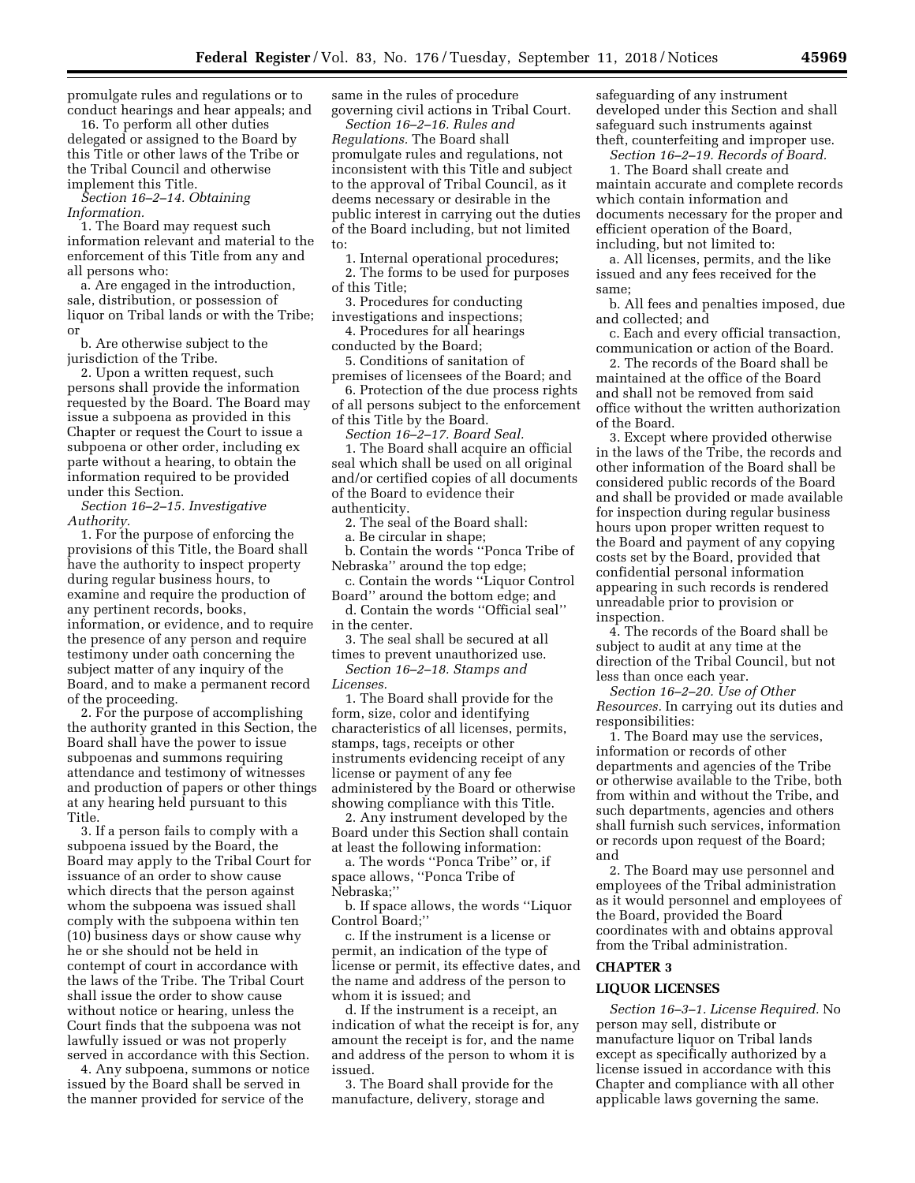promulgate rules and regulations or to conduct hearings and hear appeals; and

16. To perform all other duties delegated or assigned to the Board by this Title or other laws of the Tribe or the Tribal Council and otherwise implement this Title.

*Section 16–2–14. Obtaining Information.* 

1. The Board may request such information relevant and material to the enforcement of this Title from any and all persons who:

a. Are engaged in the introduction, sale, distribution, or possession of liquor on Tribal lands or with the Tribe; or

b. Are otherwise subject to the jurisdiction of the Tribe.

2. Upon a written request, such persons shall provide the information requested by the Board. The Board may issue a subpoena as provided in this Chapter or request the Court to issue a subpoena or other order, including ex parte without a hearing, to obtain the information required to be provided under this Section.

*Section 16–2–15. Investigative Authority.* 

1. For the purpose of enforcing the provisions of this Title, the Board shall have the authority to inspect property during regular business hours, to examine and require the production of any pertinent records, books, information, or evidence, and to require the presence of any person and require testimony under oath concerning the subject matter of any inquiry of the Board, and to make a permanent record of the proceeding.

2. For the purpose of accomplishing the authority granted in this Section, the Board shall have the power to issue subpoenas and summons requiring attendance and testimony of witnesses and production of papers or other things at any hearing held pursuant to this Title.

3. If a person fails to comply with a subpoena issued by the Board, the Board may apply to the Tribal Court for issuance of an order to show cause which directs that the person against whom the subpoena was issued shall comply with the subpoena within ten (10) business days or show cause why he or she should not be held in contempt of court in accordance with the laws of the Tribe. The Tribal Court shall issue the order to show cause without notice or hearing, unless the Court finds that the subpoena was not lawfully issued or was not properly served in accordance with this Section.

4. Any subpoena, summons or notice issued by the Board shall be served in the manner provided for service of the

same in the rules of procedure governing civil actions in Tribal Court.

*Section 16–2–16. Rules and Regulations.* The Board shall promulgate rules and regulations, not inconsistent with this Title and subject to the approval of Tribal Council, as it deems necessary or desirable in the public interest in carrying out the duties of the Board including, but not limited to:

1. Internal operational procedures;

2. The forms to be used for purposes of this Title;

3. Procedures for conducting investigations and inspections;

4. Procedures for all hearings conducted by the Board;

5. Conditions of sanitation of premises of licensees of the Board; and

6. Protection of the due process rights of all persons subject to the enforcement of this Title by the Board.

*Section 16–2–17. Board Seal.* 

1. The Board shall acquire an official seal which shall be used on all original and/or certified copies of all documents of the Board to evidence their authenticity.

2. The seal of the Board shall:

a. Be circular in shape; b. Contain the words ''Ponca Tribe of

Nebraska'' around the top edge;

c. Contain the words ''Liquor Control Board'' around the bottom edge; and

d. Contain the words ''Official seal'' in the center.

3. The seal shall be secured at all times to prevent unauthorized use. *Section 16–2–18. Stamps and* 

*Licenses.* 

1. The Board shall provide for the form, size, color and identifying characteristics of all licenses, permits, stamps, tags, receipts or other instruments evidencing receipt of any license or payment of any fee administered by the Board or otherwise showing compliance with this Title.

2. Any instrument developed by the Board under this Section shall contain at least the following information:

a. The words ''Ponca Tribe'' or, if space allows, ''Ponca Tribe of Nebraska;''

b. If space allows, the words ''Liquor Control Board;''

c. If the instrument is a license or permit, an indication of the type of license or permit, its effective dates, and the name and address of the person to whom it is issued; and

d. If the instrument is a receipt, an indication of what the receipt is for, any amount the receipt is for, and the name and address of the person to whom it is issued.

3. The Board shall provide for the manufacture, delivery, storage and

safeguarding of any instrument developed under this Section and shall safeguard such instruments against theft, counterfeiting and improper use.

*Section 16–2–19. Records of Board.* 

1. The Board shall create and maintain accurate and complete records which contain information and documents necessary for the proper and efficient operation of the Board, including, but not limited to:

a. All licenses, permits, and the like issued and any fees received for the same;

b. All fees and penalties imposed, due and collected; and

c. Each and every official transaction, communication or action of the Board.

2. The records of the Board shall be maintained at the office of the Board and shall not be removed from said office without the written authorization of the Board.

3. Except where provided otherwise in the laws of the Tribe, the records and other information of the Board shall be considered public records of the Board and shall be provided or made available for inspection during regular business hours upon proper written request to the Board and payment of any copying costs set by the Board, provided that confidential personal information appearing in such records is rendered unreadable prior to provision or inspection.

4. The records of the Board shall be subject to audit at any time at the direction of the Tribal Council, but not less than once each year.

*Section 16–2–20. Use of Other Resources.* In carrying out its duties and responsibilities:

1. The Board may use the services, information or records of other departments and agencies of the Tribe or otherwise available to the Tribe, both from within and without the Tribe, and such departments, agencies and others shall furnish such services, information or records upon request of the Board; and

2. The Board may use personnel and employees of the Tribal administration as it would personnel and employees of the Board, provided the Board coordinates with and obtains approval from the Tribal administration.

## **CHAPTER 3**

#### **LIQUOR LICENSES**

*Section 16–3–1. License Required.* No person may sell, distribute or manufacture liquor on Tribal lands except as specifically authorized by a license issued in accordance with this Chapter and compliance with all other applicable laws governing the same.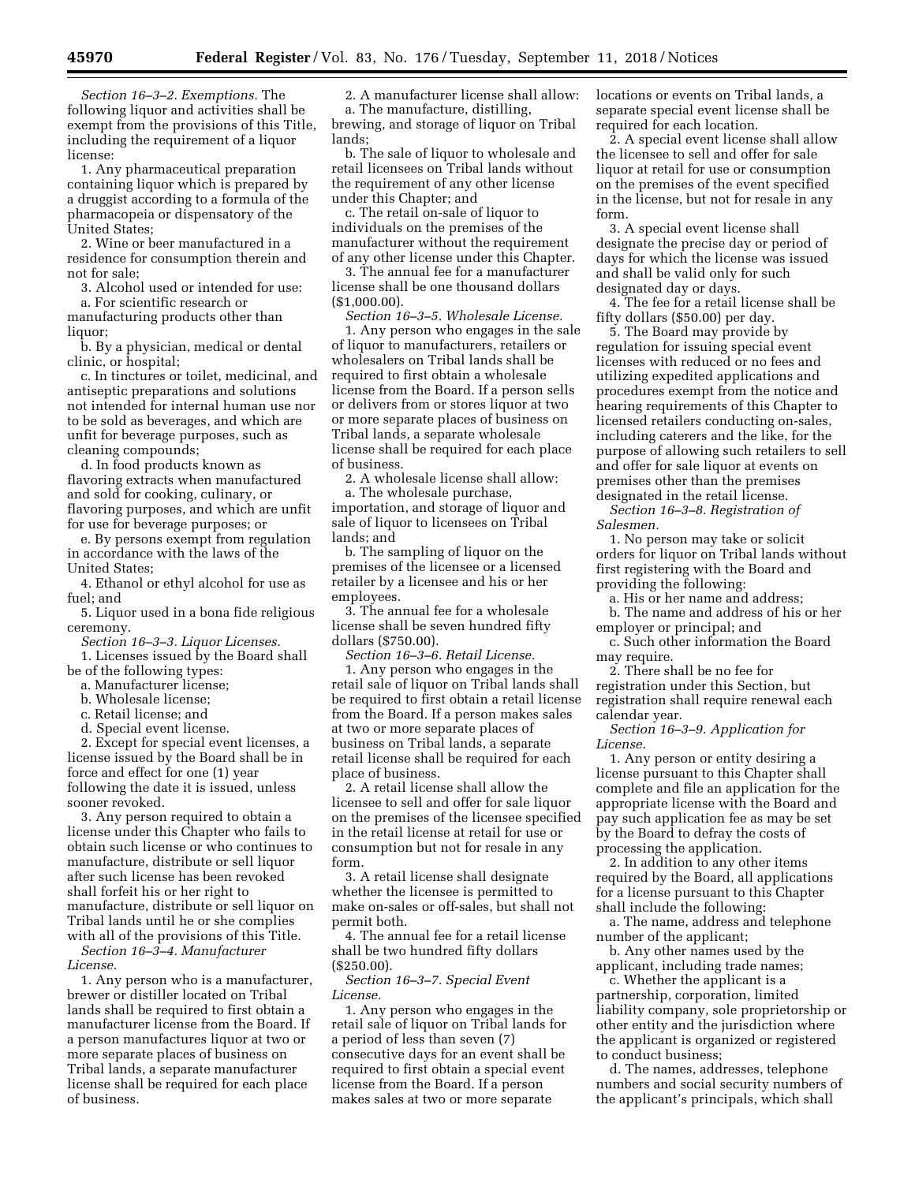*Section 16–3–2. Exemptions.* The following liquor and activities shall be exempt from the provisions of this Title, including the requirement of a liquor license:

1. Any pharmaceutical preparation containing liquor which is prepared by a druggist according to a formula of the pharmacopeia or dispensatory of the United States;

2. Wine or beer manufactured in a residence for consumption therein and not for sale;

3. Alcohol used or intended for use: a. For scientific research or

manufacturing products other than liquor;

b. By a physician, medical or dental clinic, or hospital;

c. In tinctures or toilet, medicinal, and antiseptic preparations and solutions not intended for internal human use nor to be sold as beverages, and which are unfit for beverage purposes, such as cleaning compounds;

d. In food products known as flavoring extracts when manufactured and sold for cooking, culinary, or flavoring purposes, and which are unfit for use for beverage purposes; or

e. By persons exempt from regulation in accordance with the laws of the United States;

4. Ethanol or ethyl alcohol for use as fuel; and

5. Liquor used in a bona fide religious ceremony.

*Section 16–3–3. Liquor Licenses.* 

1. Licenses issued by the Board shall be of the following types:

a. Manufacturer license;

b. Wholesale license;

c. Retail license; and

d. Special event license.

2. Except for special event licenses, a license issued by the Board shall be in force and effect for one (1) year following the date it is issued, unless sooner revoked.

3. Any person required to obtain a license under this Chapter who fails to obtain such license or who continues to manufacture, distribute or sell liquor after such license has been revoked shall forfeit his or her right to manufacture, distribute or sell liquor on Tribal lands until he or she complies with all of the provisions of this Title.

*Section 16–3–4. Manufacturer License.* 

1. Any person who is a manufacturer, brewer or distiller located on Tribal lands shall be required to first obtain a manufacturer license from the Board. If a person manufactures liquor at two or more separate places of business on Tribal lands, a separate manufacturer license shall be required for each place of business.

2. A manufacturer license shall allow: a. The manufacture, distilling, brewing, and storage of liquor on Tribal lands;

b. The sale of liquor to wholesale and retail licensees on Tribal lands without the requirement of any other license under this Chapter; and

c. The retail on-sale of liquor to individuals on the premises of the manufacturer without the requirement of any other license under this Chapter.

3. The annual fee for a manufacturer license shall be one thousand dollars (\$1,000.00).

*Section 16–3–5. Wholesale License.*  1. Any person who engages in the sale of liquor to manufacturers, retailers or wholesalers on Tribal lands shall be required to first obtain a wholesale license from the Board. If a person sells or delivers from or stores liquor at two or more separate places of business on Tribal lands, a separate wholesale license shall be required for each place of business.

2. A wholesale license shall allow: a. The wholesale purchase, importation, and storage of liquor and sale of liquor to licensees on Tribal lands; and

b. The sampling of liquor on the premises of the licensee or a licensed retailer by a licensee and his or her employees.

3. The annual fee for a wholesale license shall be seven hundred fifty dollars (\$750.00).

*Section 16–3–6. Retail License.* 

1. Any person who engages in the retail sale of liquor on Tribal lands shall be required to first obtain a retail license from the Board. If a person makes sales at two or more separate places of business on Tribal lands, a separate retail license shall be required for each place of business.

2. A retail license shall allow the licensee to sell and offer for sale liquor on the premises of the licensee specified in the retail license at retail for use or consumption but not for resale in any form.

3. A retail license shall designate whether the licensee is permitted to make on-sales or off-sales, but shall not permit both.

4. The annual fee for a retail license shall be two hundred fifty dollars (\$250.00).

*Section 16–3–7. Special Event License.* 

1. Any person who engages in the retail sale of liquor on Tribal lands for a period of less than seven (7) consecutive days for an event shall be required to first obtain a special event license from the Board. If a person makes sales at two or more separate

locations or events on Tribal lands, a separate special event license shall be required for each location.

2. A special event license shall allow the licensee to sell and offer for sale liquor at retail for use or consumption on the premises of the event specified in the license, but not for resale in any form.

3. A special event license shall designate the precise day or period of days for which the license was issued and shall be valid only for such designated day or days.

4. The fee for a retail license shall be fifty dollars (\$50.00) per day.

5. The Board may provide by regulation for issuing special event licenses with reduced or no fees and utilizing expedited applications and procedures exempt from the notice and hearing requirements of this Chapter to licensed retailers conducting on-sales, including caterers and the like, for the purpose of allowing such retailers to sell and offer for sale liquor at events on premises other than the premises designated in the retail license.

*Section 16–3–8. Registration of Salesmen.* 

1. No person may take or solicit orders for liquor on Tribal lands without first registering with the Board and providing the following:

a. His or her name and address;

b. The name and address of his or her employer or principal; and

c. Such other information the Board may require.

2. There shall be no fee for registration under this Section, but registration shall require renewal each calendar year.

*Section 16–3–9. Application for License.* 

1. Any person or entity desiring a license pursuant to this Chapter shall complete and file an application for the appropriate license with the Board and pay such application fee as may be set by the Board to defray the costs of processing the application.

2. In addition to any other items required by the Board, all applications for a license pursuant to this Chapter shall include the following:

a. The name, address and telephone number of the applicant;

b. Any other names used by the applicant, including trade names;

c. Whether the applicant is a partnership, corporation, limited liability company, sole proprietorship or other entity and the jurisdiction where the applicant is organized or registered to conduct business;

d. The names, addresses, telephone numbers and social security numbers of the applicant's principals, which shall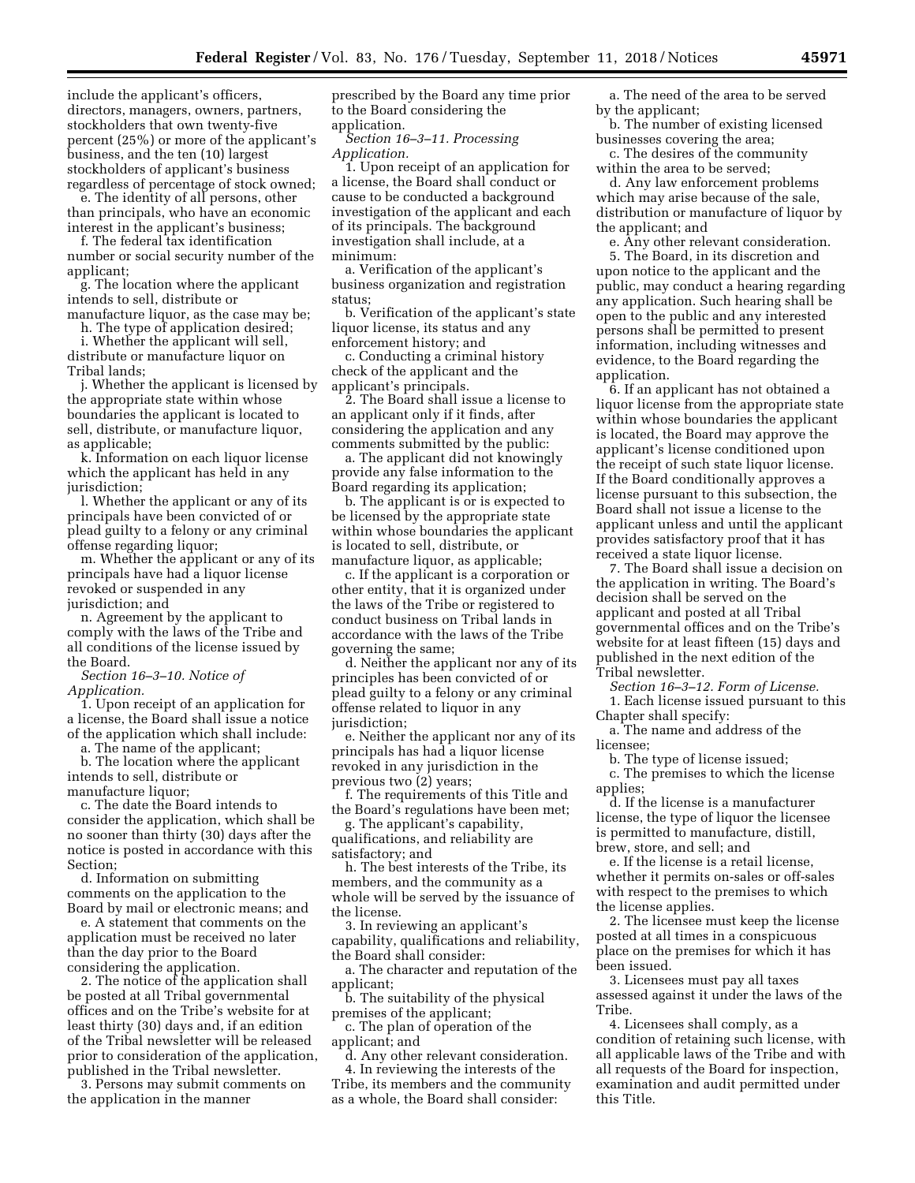include the applicant's officers, directors, managers, owners, partners, stockholders that own twenty-five percent (25%) or more of the applicant's business, and the ten (10) largest stockholders of applicant's business regardless of percentage of stock owned;

e. The identity of all persons, other than principals, who have an economic interest in the applicant's business;

f. The federal tax identification number or social security number of the applicant;

g. The location where the applicant intends to sell, distribute or

manufacture liquor, as the case may be;

h. The type of application desired; i. Whether the applicant will sell, distribute or manufacture liquor on Tribal lands;

j. Whether the applicant is licensed by the appropriate state within whose boundaries the applicant is located to sell, distribute, or manufacture liquor, as applicable;

k. Information on each liquor license which the applicant has held in any jurisdiction;

l. Whether the applicant or any of its principals have been convicted of or plead guilty to a felony or any criminal offense regarding liquor;

m. Whether the applicant or any of its principals have had a liquor license revoked or suspended in any jurisdiction; and

n. Agreement by the applicant to comply with the laws of the Tribe and all conditions of the license issued by the Board.

*Section 16–3–10. Notice of Application.* 

1. Upon receipt of an application for a license, the Board shall issue a notice of the application which shall include:

a. The name of the applicant;

b. The location where the applicant intends to sell, distribute or manufacture liquor;

c. The date the Board intends to consider the application, which shall be no sooner than thirty (30) days after the notice is posted in accordance with this Section;

d. Information on submitting comments on the application to the Board by mail or electronic means; and

e. A statement that comments on the application must be received no later than the day prior to the Board considering the application.

2. The notice of the application shall be posted at all Tribal governmental offices and on the Tribe's website for at least thirty (30) days and, if an edition of the Tribal newsletter will be released prior to consideration of the application, published in the Tribal newsletter.

3. Persons may submit comments on the application in the manner

prescribed by the Board any time prior to the Board considering the application.

*Section 16–3–11. Processing Application.* 

1. Upon receipt of an application for a license, the Board shall conduct or cause to be conducted a background investigation of the applicant and each of its principals. The background investigation shall include, at a minimum:

a. Verification of the applicant's business organization and registration status;

b. Verification of the applicant's state liquor license, its status and any enforcement history; and

c. Conducting a criminal history check of the applicant and the applicant's principals.

2. The Board shall issue a license to an applicant only if it finds, after considering the application and any comments submitted by the public:

a. The applicant did not knowingly provide any false information to the Board regarding its application;

b. The applicant is or is expected to be licensed by the appropriate state within whose boundaries the applicant is located to sell, distribute, or manufacture liquor, as applicable;

c. If the applicant is a corporation or other entity, that it is organized under the laws of the Tribe or registered to conduct business on Tribal lands in accordance with the laws of the Tribe governing the same;

d. Neither the applicant nor any of its principles has been convicted of or plead guilty to a felony or any criminal offense related to liquor in any jurisdiction;

e. Neither the applicant nor any of its principals has had a liquor license revoked in any jurisdiction in the previous two (2) years;

f. The requirements of this Title and the Board's regulations have been met;

g. The applicant's capability, qualifications, and reliability are satisfactory; and

h. The best interests of the Tribe, its members, and the community as a whole will be served by the issuance of the license.

3. In reviewing an applicant's capability, qualifications and reliability, the Board shall consider:

a. The character and reputation of the applicant;

b. The suitability of the physical premises of the applicant;

c. The plan of operation of the applicant; and

d. Any other relevant consideration. 4. In reviewing the interests of the Tribe, its members and the community as a whole, the Board shall consider:

a. The need of the area to be served by the applicant;

b. The number of existing licensed businesses covering the area;

c. The desires of the community within the area to be served;

d. Any law enforcement problems which may arise because of the sale, distribution or manufacture of liquor by the applicant; and

e. Any other relevant consideration. 5. The Board, in its discretion and upon notice to the applicant and the public, may conduct a hearing regarding any application. Such hearing shall be open to the public and any interested persons shall be permitted to present information, including witnesses and evidence, to the Board regarding the application.

6. If an applicant has not obtained a liquor license from the appropriate state within whose boundaries the applicant is located, the Board may approve the applicant's license conditioned upon the receipt of such state liquor license. If the Board conditionally approves a license pursuant to this subsection, the Board shall not issue a license to the applicant unless and until the applicant provides satisfactory proof that it has received a state liquor license.

7. The Board shall issue a decision on the application in writing. The Board's decision shall be served on the applicant and posted at all Tribal governmental offices and on the Tribe's website for at least fifteen (15) days and published in the next edition of the Tribal newsletter.

*Section 16–3–12. Form of License.*  1. Each license issued pursuant to this

Chapter shall specify:

a. The name and address of the licensee;

b. The type of license issued;

c. The premises to which the license applies;

d. If the license is a manufacturer license, the type of liquor the licensee is permitted to manufacture, distill, brew, store, and sell; and

e. If the license is a retail license, whether it permits on-sales or off-sales with respect to the premises to which the license applies.

2. The licensee must keep the license posted at all times in a conspicuous place on the premises for which it has been issued.

3. Licensees must pay all taxes assessed against it under the laws of the Tribe.

4. Licensees shall comply, as a condition of retaining such license, with all applicable laws of the Tribe and with all requests of the Board for inspection, examination and audit permitted under this Title.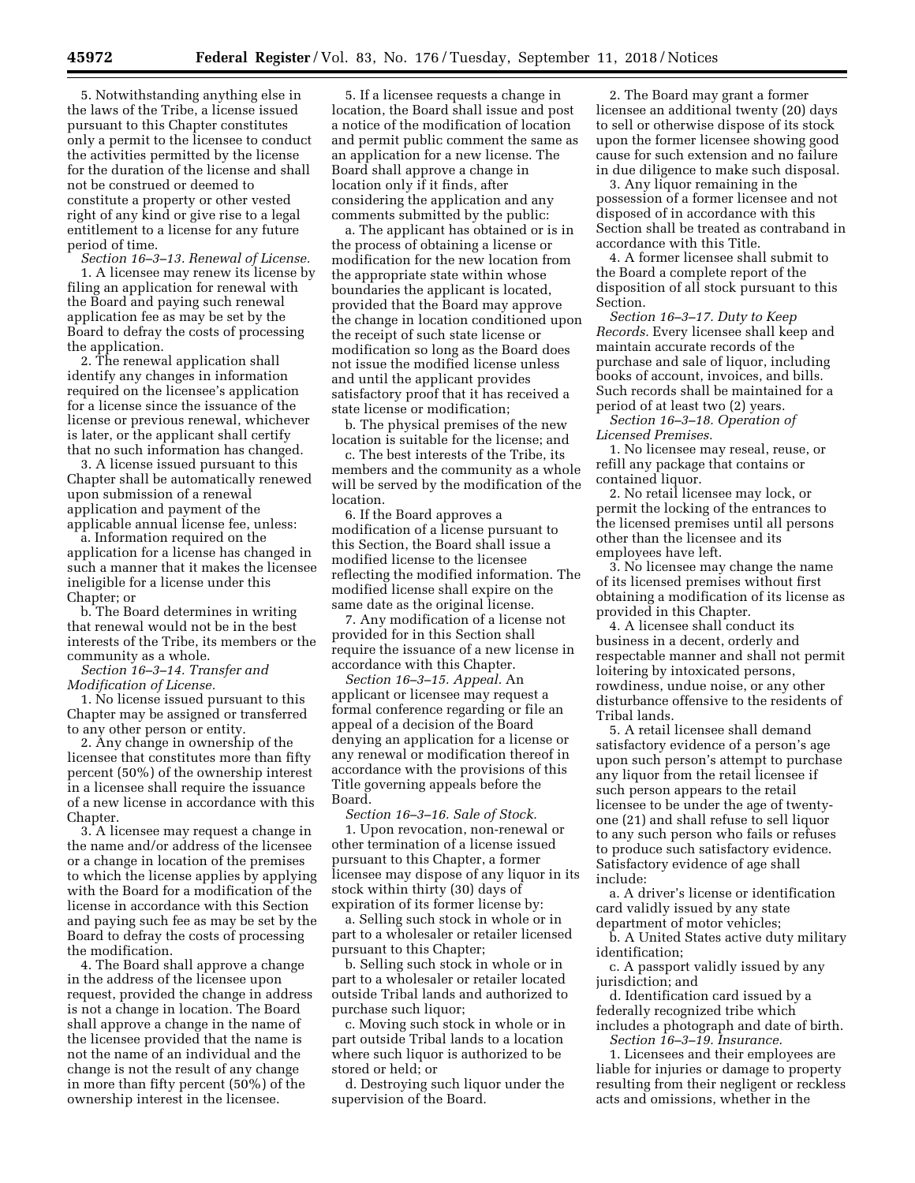5. Notwithstanding anything else in the laws of the Tribe, a license issued pursuant to this Chapter constitutes only a permit to the licensee to conduct the activities permitted by the license for the duration of the license and shall not be construed or deemed to constitute a property or other vested right of any kind or give rise to a legal entitlement to a license for any future period of time.

*Section 16–3–13. Renewal of License.*  1. A licensee may renew its license by filing an application for renewal with the Board and paying such renewal application fee as may be set by the Board to defray the costs of processing the application.

2. The renewal application shall identify any changes in information required on the licensee's application for a license since the issuance of the license or previous renewal, whichever is later, or the applicant shall certify that no such information has changed.

3. A license issued pursuant to this Chapter shall be automatically renewed upon submission of a renewal application and payment of the applicable annual license fee, unless:

a. Information required on the application for a license has changed in such a manner that it makes the licensee ineligible for a license under this Chapter; or

b. The Board determines in writing that renewal would not be in the best interests of the Tribe, its members or the community as a whole.

*Section 16–3–14. Transfer and Modification of License.* 

1. No license issued pursuant to this Chapter may be assigned or transferred to any other person or entity.

2. Any change in ownership of the licensee that constitutes more than fifty percent (50%) of the ownership interest in a licensee shall require the issuance of a new license in accordance with this Chapter.

3. A licensee may request a change in the name and/or address of the licensee or a change in location of the premises to which the license applies by applying with the Board for a modification of the license in accordance with this Section and paying such fee as may be set by the Board to defray the costs of processing the modification.

4. The Board shall approve a change in the address of the licensee upon request, provided the change in address is not a change in location. The Board shall approve a change in the name of the licensee provided that the name is not the name of an individual and the change is not the result of any change in more than fifty percent (50%) of the ownership interest in the licensee.

5. If a licensee requests a change in location, the Board shall issue and post a notice of the modification of location and permit public comment the same as an application for a new license. The Board shall approve a change in location only if it finds, after considering the application and any comments submitted by the public:

a. The applicant has obtained or is in the process of obtaining a license or modification for the new location from the appropriate state within whose boundaries the applicant is located, provided that the Board may approve the change in location conditioned upon the receipt of such state license or modification so long as the Board does not issue the modified license unless and until the applicant provides satisfactory proof that it has received a state license or modification;

b. The physical premises of the new location is suitable for the license; and

c. The best interests of the Tribe, its members and the community as a whole will be served by the modification of the location.

6. If the Board approves a modification of a license pursuant to this Section, the Board shall issue a modified license to the licensee reflecting the modified information. The modified license shall expire on the same date as the original license.

7. Any modification of a license not provided for in this Section shall require the issuance of a new license in accordance with this Chapter.

*Section 16–3–15. Appeal.* An applicant or licensee may request a formal conference regarding or file an appeal of a decision of the Board denying an application for a license or any renewal or modification thereof in accordance with the provisions of this Title governing appeals before the Board.

*Section 16–3–16. Sale of Stock.*  1. Upon revocation, non-renewal or other termination of a license issued pursuant to this Chapter, a former licensee may dispose of any liquor in its stock within thirty (30) days of expiration of its former license by:

a. Selling such stock in whole or in part to a wholesaler or retailer licensed pursuant to this Chapter;

b. Selling such stock in whole or in part to a wholesaler or retailer located outside Tribal lands and authorized to purchase such liquor;

c. Moving such stock in whole or in part outside Tribal lands to a location where such liquor is authorized to be stored or held; or

d. Destroying such liquor under the supervision of the Board.

2. The Board may grant a former licensee an additional twenty (20) days to sell or otherwise dispose of its stock upon the former licensee showing good cause for such extension and no failure in due diligence to make such disposal.

3. Any liquor remaining in the possession of a former licensee and not disposed of in accordance with this Section shall be treated as contraband in accordance with this Title.

4. A former licensee shall submit to the Board a complete report of the disposition of all stock pursuant to this Section.

*Section 16–3–17. Duty to Keep Records.* Every licensee shall keep and maintain accurate records of the purchase and sale of liquor, including books of account, invoices, and bills. Such records shall be maintained for a period of at least two (2) years.

*Section 16–3–18. Operation of Licensed Premises.* 

1. No licensee may reseal, reuse, or refill any package that contains or contained liquor.

2. No retail licensee may lock, or permit the locking of the entrances to the licensed premises until all persons other than the licensee and its employees have left.

3. No licensee may change the name of its licensed premises without first obtaining a modification of its license as provided in this Chapter.

4. A licensee shall conduct its business in a decent, orderly and respectable manner and shall not permit loitering by intoxicated persons, rowdiness, undue noise, or any other disturbance offensive to the residents of Tribal lands.

5. A retail licensee shall demand satisfactory evidence of a person's age upon such person's attempt to purchase any liquor from the retail licensee if such person appears to the retail licensee to be under the age of twentyone (21) and shall refuse to sell liquor to any such person who fails or refuses to produce such satisfactory evidence. Satisfactory evidence of age shall include:

a. A driver's license or identification card validly issued by any state department of motor vehicles;

b. A United States active duty military identification;

c. A passport validly issued by any jurisdiction; and

d. Identification card issued by a federally recognized tribe which includes a photograph and date of birth. *Section 16–3–19. Insurance.* 

1. Licensees and their employees are liable for injuries or damage to property resulting from their negligent or reckless acts and omissions, whether in the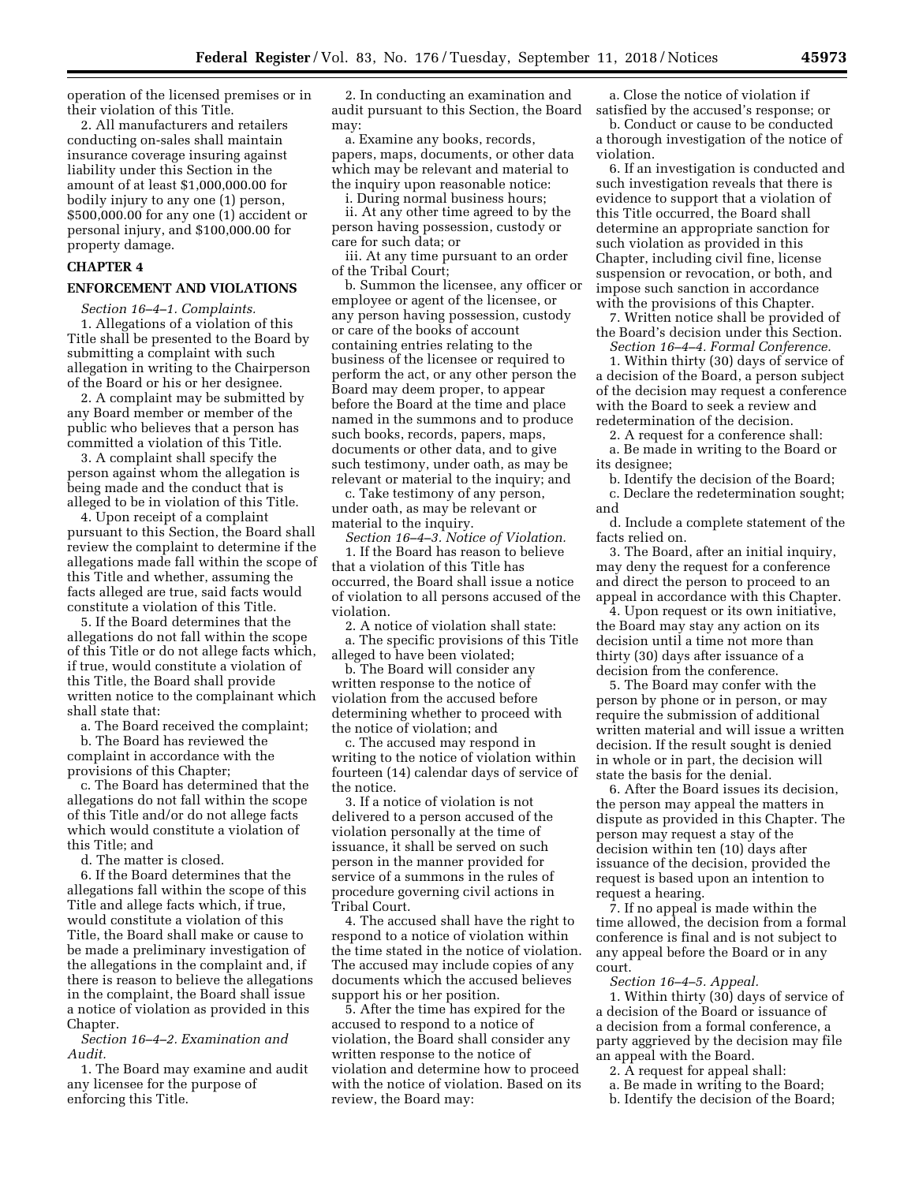operation of the licensed premises or in their violation of this Title.

2. All manufacturers and retailers conducting on-sales shall maintain insurance coverage insuring against liability under this Section in the amount of at least \$1,000,000.00 for bodily injury to any one (1) person, \$500,000.00 for any one (1) accident or personal injury, and \$100,000.00 for property damage.

## **CHAPTER 4**

## **ENFORCEMENT AND VIOLATIONS**

*Section 16–4–1. Complaints.*  1. Allegations of a violation of this Title shall be presented to the Board by submitting a complaint with such allegation in writing to the Chairperson of the Board or his or her designee.

2. A complaint may be submitted by any Board member or member of the public who believes that a person has committed a violation of this Title.

3. A complaint shall specify the person against whom the allegation is being made and the conduct that is alleged to be in violation of this Title.

4. Upon receipt of a complaint pursuant to this Section, the Board shall review the complaint to determine if the allegations made fall within the scope of this Title and whether, assuming the facts alleged are true, said facts would constitute a violation of this Title.

5. If the Board determines that the allegations do not fall within the scope of this Title or do not allege facts which, if true, would constitute a violation of this Title, the Board shall provide written notice to the complainant which shall state that:

a. The Board received the complaint;

b. The Board has reviewed the complaint in accordance with the provisions of this Chapter;

c. The Board has determined that the allegations do not fall within the scope of this Title and/or do not allege facts which would constitute a violation of this Title; and

d. The matter is closed.

6. If the Board determines that the allegations fall within the scope of this Title and allege facts which, if true, would constitute a violation of this Title, the Board shall make or cause to be made a preliminary investigation of the allegations in the complaint and, if there is reason to believe the allegations in the complaint, the Board shall issue a notice of violation as provided in this Chapter.

*Section 16–4–2. Examination and Audit.* 

1. The Board may examine and audit any licensee for the purpose of enforcing this Title.

2. In conducting an examination and audit pursuant to this Section, the Board may:

a. Examine any books, records, papers, maps, documents, or other data which may be relevant and material to the inquiry upon reasonable notice:

i. During normal business hours;

ii. At any other time agreed to by the person having possession, custody or care for such data; or

iii. At any time pursuant to an order of the Tribal Court;

b. Summon the licensee, any officer or employee or agent of the licensee, or any person having possession, custody or care of the books of account containing entries relating to the business of the licensee or required to perform the act, or any other person the Board may deem proper, to appear before the Board at the time and place named in the summons and to produce such books, records, papers, maps, documents or other data, and to give such testimony, under oath, as may be relevant or material to the inquiry; and

c. Take testimony of any person, under oath, as may be relevant or material to the inquiry.

*Section 16–4–3. Notice of Violation.*  1. If the Board has reason to believe that a violation of this Title has occurred, the Board shall issue a notice of violation to all persons accused of the violation.

2. A notice of violation shall state: a. The specific provisions of this Title alleged to have been violated;

b. The Board will consider any written response to the notice of violation from the accused before determining whether to proceed with the notice of violation; and

c. The accused may respond in writing to the notice of violation within fourteen (14) calendar days of service of the notice.

3. If a notice of violation is not delivered to a person accused of the violation personally at the time of issuance, it shall be served on such person in the manner provided for service of a summons in the rules of procedure governing civil actions in Tribal Court.

4. The accused shall have the right to respond to a notice of violation within the time stated in the notice of violation. The accused may include copies of any documents which the accused believes support his or her position.

5. After the time has expired for the accused to respond to a notice of violation, the Board shall consider any written response to the notice of violation and determine how to proceed with the notice of violation. Based on its review, the Board may:

a. Close the notice of violation if satisfied by the accused's response; or

b. Conduct or cause to be conducted a thorough investigation of the notice of violation.

6. If an investigation is conducted and such investigation reveals that there is evidence to support that a violation of this Title occurred, the Board shall determine an appropriate sanction for such violation as provided in this Chapter, including civil fine, license suspension or revocation, or both, and impose such sanction in accordance with the provisions of this Chapter.

7. Written notice shall be provided of the Board's decision under this Section. *Section 16–4–4. Formal Conference.* 

1. Within thirty (30) days of service of a decision of the Board, a person subject of the decision may request a conference with the Board to seek a review and redetermination of the decision.

2. A request for a conference shall: a. Be made in writing to the Board or its designee;

b. Identify the decision of the Board; c. Declare the redetermination sought; and

d. Include a complete statement of the facts relied on.

3. The Board, after an initial inquiry, may deny the request for a conference and direct the person to proceed to an appeal in accordance with this Chapter.

4. Upon request or its own initiative, the Board may stay any action on its decision until a time not more than thirty (30) days after issuance of a decision from the conference.

5. The Board may confer with the person by phone or in person, or may require the submission of additional written material and will issue a written decision. If the result sought is denied in whole or in part, the decision will state the basis for the denial.

6. After the Board issues its decision, the person may appeal the matters in dispute as provided in this Chapter. The person may request a stay of the decision within ten (10) days after issuance of the decision, provided the request is based upon an intention to request a hearing.

7. If no appeal is made within the time allowed, the decision from a formal conference is final and is not subject to any appeal before the Board or in any court.

*Section 16–4–5. Appeal.* 

1. Within thirty (30) days of service of a decision of the Board or issuance of a decision from a formal conference, a party aggrieved by the decision may file an appeal with the Board.

- 2. A request for appeal shall:
- a. Be made in writing to the Board;
- b. Identify the decision of the Board;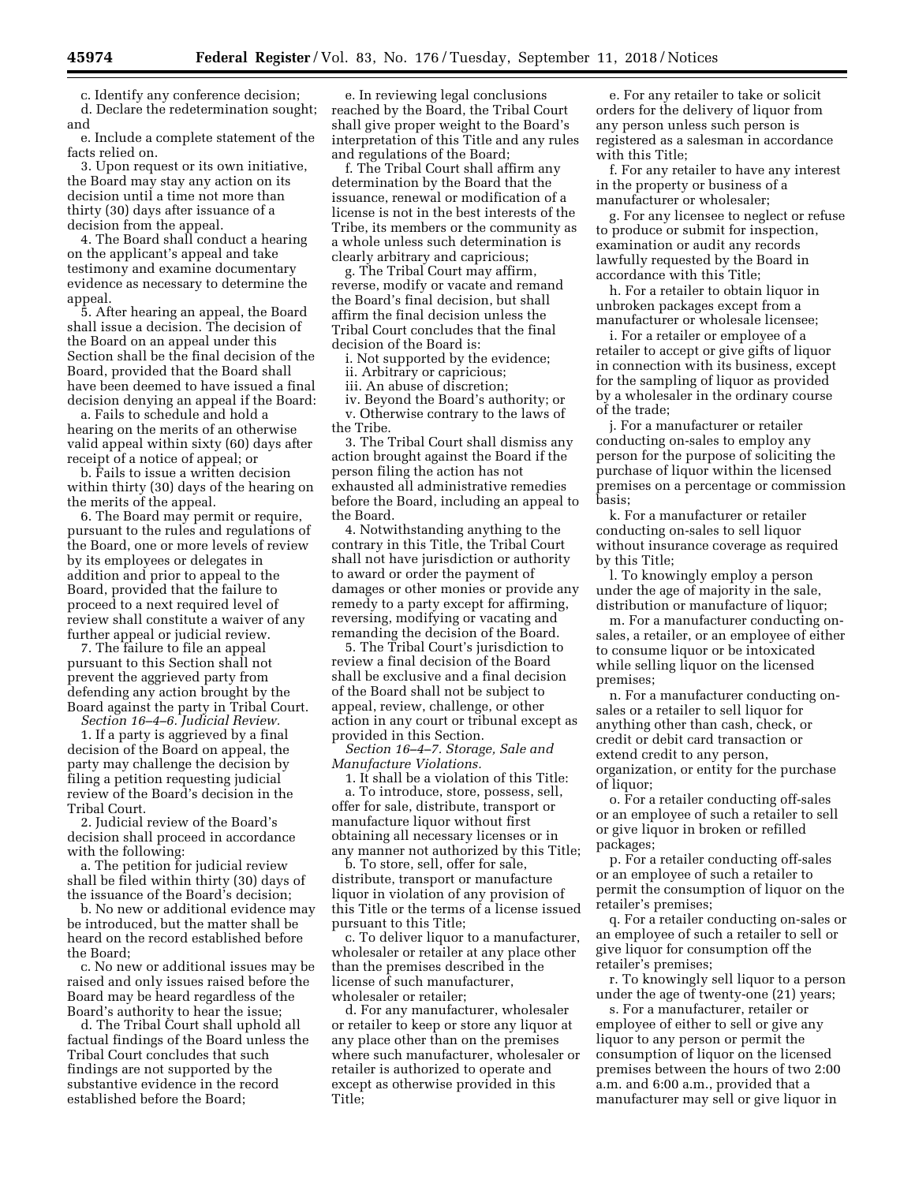c. Identify any conference decision;

d. Declare the redetermination sought; and

e. Include a complete statement of the facts relied on.

3. Upon request or its own initiative, the Board may stay any action on its decision until a time not more than thirty (30) days after issuance of a decision from the appeal.

4. The Board shall conduct a hearing on the applicant's appeal and take testimony and examine documentary evidence as necessary to determine the appeal.

5. After hearing an appeal, the Board shall issue a decision. The decision of the Board on an appeal under this Section shall be the final decision of the Board, provided that the Board shall have been deemed to have issued a final decision denying an appeal if the Board:

a. Fails to schedule and hold a hearing on the merits of an otherwise valid appeal within sixty (60) days after receipt of a notice of appeal; or

b. Fails to issue a written decision within thirty (30) days of the hearing on the merits of the appeal.

6. The Board may permit or require, pursuant to the rules and regulations of the Board, one or more levels of review by its employees or delegates in addition and prior to appeal to the Board, provided that the failure to proceed to a next required level of review shall constitute a waiver of any further appeal or judicial review.

7. The failure to file an appeal pursuant to this Section shall not prevent the aggrieved party from defending any action brought by the Board against the party in Tribal Court.

*Section 16–4–6. Judicial Review.* 

1. If a party is aggrieved by a final decision of the Board on appeal, the party may challenge the decision by filing a petition requesting judicial review of the Board's decision in the Tribal Court.

2. Judicial review of the Board's decision shall proceed in accordance with the following:

a. The petition for judicial review shall be filed within thirty (30) days of the issuance of the Board's decision;

b. No new or additional evidence may be introduced, but the matter shall be heard on the record established before the Board;

c. No new or additional issues may be raised and only issues raised before the Board may be heard regardless of the Board's authority to hear the issue;

d. The Tribal Court shall uphold all factual findings of the Board unless the Tribal Court concludes that such findings are not supported by the substantive evidence in the record established before the Board;

e. In reviewing legal conclusions reached by the Board, the Tribal Court shall give proper weight to the Board's interpretation of this Title and any rules and regulations of the Board;

f. The Tribal Court shall affirm any determination by the Board that the issuance, renewal or modification of a license is not in the best interests of the Tribe, its members or the community as a whole unless such determination is clearly arbitrary and capricious;

g. The Tribal Court may affirm, reverse, modify or vacate and remand the Board's final decision, but shall affirm the final decision unless the Tribal Court concludes that the final decision of the Board is:

i. Not supported by the evidence;

ii. Arbitrary or capricious;

iii. An abuse of discretion;

iv. Beyond the Board's authority; or v. Otherwise contrary to the laws of the Tribe.

3. The Tribal Court shall dismiss any action brought against the Board if the person filing the action has not exhausted all administrative remedies before the Board, including an appeal to the Board.

4. Notwithstanding anything to the contrary in this Title, the Tribal Court shall not have jurisdiction or authority to award or order the payment of damages or other monies or provide any remedy to a party except for affirming, reversing, modifying or vacating and remanding the decision of the Board.

5. The Tribal Court's jurisdiction to review a final decision of the Board shall be exclusive and a final decision of the Board shall not be subject to appeal, review, challenge, or other action in any court or tribunal except as provided in this Section.

*Section 16–4–7. Storage, Sale and Manufacture Violations.* 

1. It shall be a violation of this Title: a. To introduce, store, possess, sell, offer for sale, distribute, transport or manufacture liquor without first obtaining all necessary licenses or in any manner not authorized by this Title;

b. To store, sell, offer for sale, distribute, transport or manufacture liquor in violation of any provision of this Title or the terms of a license issued pursuant to this Title;

c. To deliver liquor to a manufacturer, wholesaler or retailer at any place other than the premises described in the license of such manufacturer, wholesaler or retailer;

d. For any manufacturer, wholesaler or retailer to keep or store any liquor at any place other than on the premises where such manufacturer, wholesaler or retailer is authorized to operate and except as otherwise provided in this Title;

e. For any retailer to take or solicit orders for the delivery of liquor from any person unless such person is registered as a salesman in accordance with this Title;

f. For any retailer to have any interest in the property or business of a manufacturer or wholesaler;

g. For any licensee to neglect or refuse to produce or submit for inspection, examination or audit any records lawfully requested by the Board in accordance with this Title;

h. For a retailer to obtain liquor in unbroken packages except from a manufacturer or wholesale licensee;

i. For a retailer or employee of a retailer to accept or give gifts of liquor in connection with its business, except for the sampling of liquor as provided by a wholesaler in the ordinary course of the trade;

j. For a manufacturer or retailer conducting on-sales to employ any person for the purpose of soliciting the purchase of liquor within the licensed premises on a percentage or commission basis;

k. For a manufacturer or retailer conducting on-sales to sell liquor without insurance coverage as required by this Title;

l. To knowingly employ a person under the age of majority in the sale, distribution or manufacture of liquor;

m. For a manufacturer conducting onsales, a retailer, or an employee of either to consume liquor or be intoxicated while selling liquor on the licensed premises;

n. For a manufacturer conducting onsales or a retailer to sell liquor for anything other than cash, check, or credit or debit card transaction or extend credit to any person, organization, or entity for the purchase of liquor;

o. For a retailer conducting off-sales or an employee of such a retailer to sell or give liquor in broken or refilled packages;

p. For a retailer conducting off-sales or an employee of such a retailer to permit the consumption of liquor on the retailer's premises;

q. For a retailer conducting on-sales or an employee of such a retailer to sell or give liquor for consumption off the retailer's premises;

r. To knowingly sell liquor to a person under the age of twenty-one (21) years;

s. For a manufacturer, retailer or employee of either to sell or give any liquor to any person or permit the consumption of liquor on the licensed premises between the hours of two 2:00 a.m. and 6:00 a.m., provided that a manufacturer may sell or give liquor in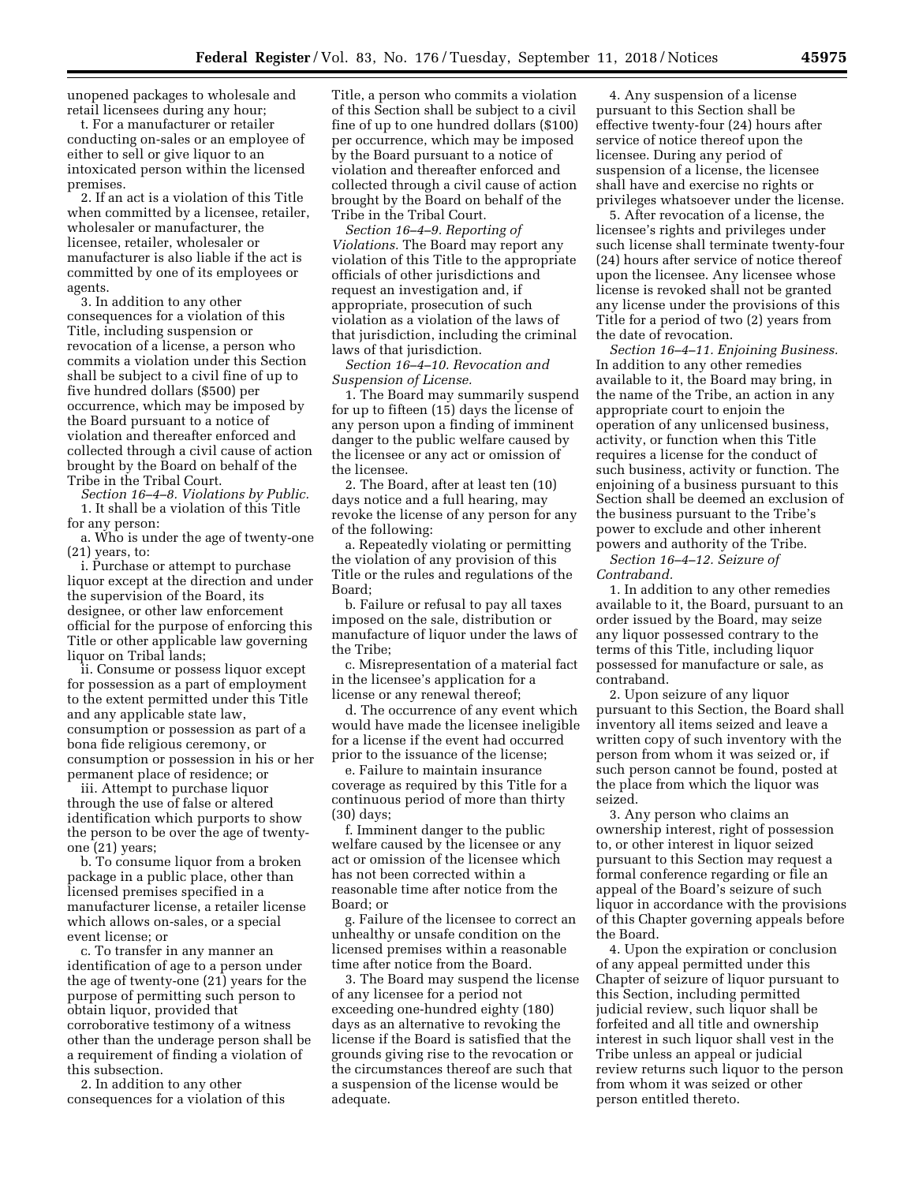unopened packages to wholesale and retail licensees during any hour;

t. For a manufacturer or retailer conducting on-sales or an employee of either to sell or give liquor to an intoxicated person within the licensed premises.

2. If an act is a violation of this Title when committed by a licensee, retailer, wholesaler or manufacturer, the licensee, retailer, wholesaler or manufacturer is also liable if the act is committed by one of its employees or agents.

3. In addition to any other consequences for a violation of this Title, including suspension or revocation of a license, a person who commits a violation under this Section shall be subject to a civil fine of up to five hundred dollars (\$500) per occurrence, which may be imposed by the Board pursuant to a notice of violation and thereafter enforced and collected through a civil cause of action brought by the Board on behalf of the Tribe in the Tribal Court.

*Section 16–4–8. Violations by Public.*  1. It shall be a violation of this Title for any person:

a. Who is under the age of twenty-one (21) years, to:

i. Purchase or attempt to purchase liquor except at the direction and under the supervision of the Board, its designee, or other law enforcement official for the purpose of enforcing this Title or other applicable law governing liquor on Tribal lands;

ii. Consume or possess liquor except for possession as a part of employment to the extent permitted under this Title and any applicable state law, consumption or possession as part of a bona fide religious ceremony, or consumption or possession in his or her permanent place of residence; or

iii. Attempt to purchase liquor through the use of false or altered identification which purports to show the person to be over the age of twentyone (21) years;

b. To consume liquor from a broken package in a public place, other than licensed premises specified in a manufacturer license, a retailer license which allows on-sales, or a special event license; or

c. To transfer in any manner an identification of age to a person under the age of twenty-one (21) years for the purpose of permitting such person to obtain liquor, provided that corroborative testimony of a witness other than the underage person shall be a requirement of finding a violation of this subsection.

2. In addition to any other consequences for a violation of this Title, a person who commits a violation of this Section shall be subject to a civil fine of up to one hundred dollars (\$100) per occurrence, which may be imposed by the Board pursuant to a notice of violation and thereafter enforced and collected through a civil cause of action brought by the Board on behalf of the Tribe in the Tribal Court.

*Section 16–4–9. Reporting of Violations.* The Board may report any violation of this Title to the appropriate officials of other jurisdictions and request an investigation and, if appropriate, prosecution of such violation as a violation of the laws of that jurisdiction, including the criminal laws of that jurisdiction.

*Section 16–4–10. Revocation and Suspension of License.* 

1. The Board may summarily suspend for up to fifteen (15) days the license of any person upon a finding of imminent danger to the public welfare caused by the licensee or any act or omission of the licensee.

2. The Board, after at least ten (10) days notice and a full hearing, may revoke the license of any person for any of the following:

a. Repeatedly violating or permitting the violation of any provision of this Title or the rules and regulations of the Board;

b. Failure or refusal to pay all taxes imposed on the sale, distribution or manufacture of liquor under the laws of the Tribe;

c. Misrepresentation of a material fact in the licensee's application for a license or any renewal thereof;

d. The occurrence of any event which would have made the licensee ineligible for a license if the event had occurred prior to the issuance of the license;

e. Failure to maintain insurance coverage as required by this Title for a continuous period of more than thirty (30) days;

f. Imminent danger to the public welfare caused by the licensee or any act or omission of the licensee which has not been corrected within a reasonable time after notice from the Board; or

g. Failure of the licensee to correct an unhealthy or unsafe condition on the licensed premises within a reasonable time after notice from the Board.

3. The Board may suspend the license of any licensee for a period not exceeding one-hundred eighty (180) days as an alternative to revoking the license if the Board is satisfied that the grounds giving rise to the revocation or the circumstances thereof are such that a suspension of the license would be adequate.

4. Any suspension of a license pursuant to this Section shall be effective twenty-four (24) hours after service of notice thereof upon the licensee. During any period of suspension of a license, the licensee shall have and exercise no rights or privileges whatsoever under the license.

5. After revocation of a license, the licensee's rights and privileges under such license shall terminate twenty-four (24) hours after service of notice thereof upon the licensee. Any licensee whose license is revoked shall not be granted any license under the provisions of this Title for a period of two (2) years from the date of revocation.

*Section 16–4–11. Enjoining Business.*  In addition to any other remedies available to it, the Board may bring, in the name of the Tribe, an action in any appropriate court to enjoin the operation of any unlicensed business, activity, or function when this Title requires a license for the conduct of such business, activity or function. The enjoining of a business pursuant to this Section shall be deemed an exclusion of the business pursuant to the Tribe's power to exclude and other inherent powers and authority of the Tribe.

*Section 16–4–12. Seizure of Contraband.* 

1. In addition to any other remedies available to it, the Board, pursuant to an order issued by the Board, may seize any liquor possessed contrary to the terms of this Title, including liquor possessed for manufacture or sale, as contraband.

2. Upon seizure of any liquor pursuant to this Section, the Board shall inventory all items seized and leave a written copy of such inventory with the person from whom it was seized or, if such person cannot be found, posted at the place from which the liquor was seized.

3. Any person who claims an ownership interest, right of possession to, or other interest in liquor seized pursuant to this Section may request a formal conference regarding or file an appeal of the Board's seizure of such liquor in accordance with the provisions of this Chapter governing appeals before the Board.

4. Upon the expiration or conclusion of any appeal permitted under this Chapter of seizure of liquor pursuant to this Section, including permitted judicial review, such liquor shall be forfeited and all title and ownership interest in such liquor shall vest in the Tribe unless an appeal or judicial review returns such liquor to the person from whom it was seized or other person entitled thereto.